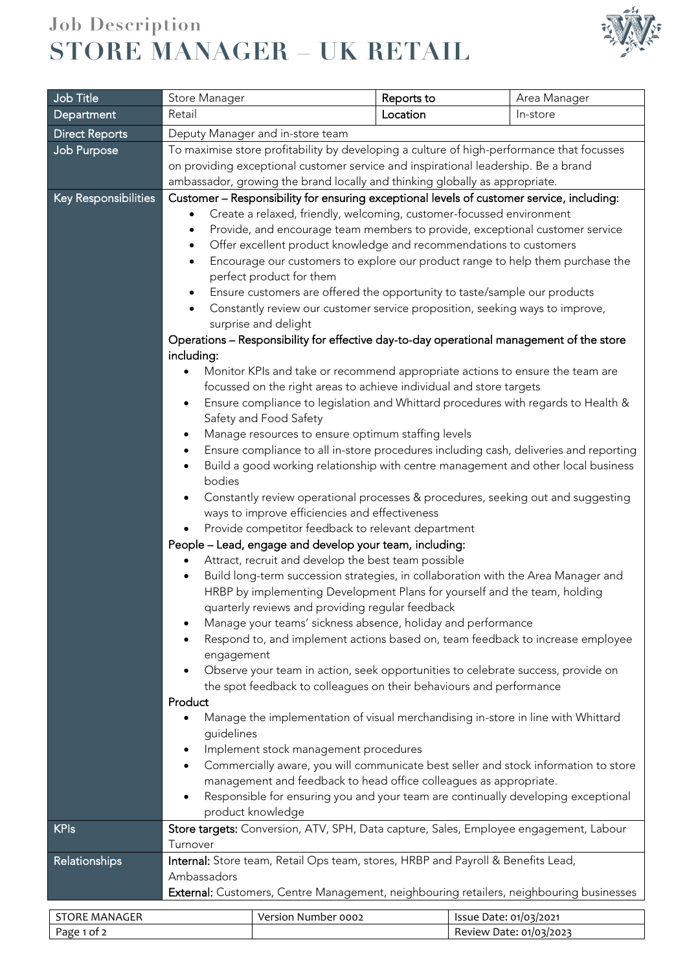## **Job Description STORE MANAGER – UK RETAIL**



| Job Title             | Store Manager                                                                                                                                                                                                                                                                                                                                                                                                                                                        |                                                                                  | Reports to |                        | Area Manager            |  |
|-----------------------|----------------------------------------------------------------------------------------------------------------------------------------------------------------------------------------------------------------------------------------------------------------------------------------------------------------------------------------------------------------------------------------------------------------------------------------------------------------------|----------------------------------------------------------------------------------|------------|------------------------|-------------------------|--|
| <b>Department</b>     | Retail                                                                                                                                                                                                                                                                                                                                                                                                                                                               |                                                                                  | Location   |                        | In-store                |  |
| <b>Direct Reports</b> |                                                                                                                                                                                                                                                                                                                                                                                                                                                                      |                                                                                  |            |                        |                         |  |
| Job Purpose           | Deputy Manager and in-store team<br>To maximise store profitability by developing a culture of high-performance that focusses                                                                                                                                                                                                                                                                                                                                        |                                                                                  |            |                        |                         |  |
|                       | on providing exceptional customer service and inspirational leadership. Be a brand<br>ambassador, growing the brand locally and thinking globally as appropriate.                                                                                                                                                                                                                                                                                                    |                                                                                  |            |                        |                         |  |
|                       |                                                                                                                                                                                                                                                                                                                                                                                                                                                                      |                                                                                  |            |                        |                         |  |
| Key Responsibilities  | Customer - Responsibility for ensuring exceptional levels of customer service, including:<br>Create a relaxed, friendly, welcoming, customer-focussed environment<br>Provide, and encourage team members to provide, exceptional customer service<br>٠<br>Offer excellent product knowledge and recommendations to customers<br>$\bullet$<br>Encourage our customers to explore our product range to help them purchase the<br>$\bullet$<br>perfect product for them |                                                                                  |            |                        |                         |  |
|                       | Ensure customers are offered the opportunity to taste/sample our products<br>$\bullet$<br>Constantly review our customer service proposition, seeking ways to improve,<br>$\bullet$                                                                                                                                                                                                                                                                                  |                                                                                  |            |                        |                         |  |
|                       | surprise and delight                                                                                                                                                                                                                                                                                                                                                                                                                                                 |                                                                                  |            |                        |                         |  |
|                       | Operations – Responsibility for effective day-to-day operational management of the store                                                                                                                                                                                                                                                                                                                                                                             |                                                                                  |            |                        |                         |  |
|                       | including:                                                                                                                                                                                                                                                                                                                                                                                                                                                           |                                                                                  |            |                        |                         |  |
|                       | Monitor KPIs and take or recommend appropriate actions to ensure the team are<br>focussed on the right areas to achieve individual and store targets                                                                                                                                                                                                                                                                                                                 |                                                                                  |            |                        |                         |  |
|                       | Ensure compliance to legislation and Whittard procedures with regards to Health &<br>$\bullet$<br>Safety and Food Safety                                                                                                                                                                                                                                                                                                                                             |                                                                                  |            |                        |                         |  |
|                       | Manage resources to ensure optimum staffing levels<br>٠                                                                                                                                                                                                                                                                                                                                                                                                              |                                                                                  |            |                        |                         |  |
|                       | Ensure compliance to all in-store procedures including cash, deliveries and reporting<br>$\bullet$                                                                                                                                                                                                                                                                                                                                                                   |                                                                                  |            |                        |                         |  |
|                       | Build a good working relationship with centre management and other local business<br>$\bullet$<br>bodies                                                                                                                                                                                                                                                                                                                                                             |                                                                                  |            |                        |                         |  |
|                       | Constantly review operational processes & procedures, seeking out and suggesting<br>٠<br>ways to improve efficiencies and effectiveness                                                                                                                                                                                                                                                                                                                              |                                                                                  |            |                        |                         |  |
|                       | Provide competitor feedback to relevant department                                                                                                                                                                                                                                                                                                                                                                                                                   |                                                                                  |            |                        |                         |  |
|                       | People - Lead, engage and develop your team, including:                                                                                                                                                                                                                                                                                                                                                                                                              |                                                                                  |            |                        |                         |  |
|                       | Attract, recruit and develop the best team possible                                                                                                                                                                                                                                                                                                                                                                                                                  |                                                                                  |            |                        |                         |  |
|                       | Build long-term succession strategies, in collaboration with the Area Manager and<br>$\bullet$                                                                                                                                                                                                                                                                                                                                                                       |                                                                                  |            |                        |                         |  |
|                       | HRBP by implementing Development Plans for yourself and the team, holding<br>quarterly reviews and providing regular feedback                                                                                                                                                                                                                                                                                                                                        |                                                                                  |            |                        |                         |  |
|                       | Manage your teams' sickness absence, holiday and performance                                                                                                                                                                                                                                                                                                                                                                                                         |                                                                                  |            |                        |                         |  |
|                       | Respond to, and implement actions based on, team feedback to increase employee<br>$\bullet$                                                                                                                                                                                                                                                                                                                                                                          |                                                                                  |            |                        |                         |  |
|                       | engagement                                                                                                                                                                                                                                                                                                                                                                                                                                                           |                                                                                  |            |                        |                         |  |
|                       | Observe your team in action, seek opportunities to celebrate success, provide on                                                                                                                                                                                                                                                                                                                                                                                     |                                                                                  |            |                        |                         |  |
|                       | the spot feedback to colleagues on their behaviours and performance                                                                                                                                                                                                                                                                                                                                                                                                  |                                                                                  |            |                        |                         |  |
|                       | Product<br>Manage the implementation of visual merchandising in-store in line with Whittard<br>$\bullet$                                                                                                                                                                                                                                                                                                                                                             |                                                                                  |            |                        |                         |  |
|                       | guidelines                                                                                                                                                                                                                                                                                                                                                                                                                                                           |                                                                                  |            |                        |                         |  |
|                       | Implement stock management procedures<br>$\bullet$                                                                                                                                                                                                                                                                                                                                                                                                                   |                                                                                  |            |                        |                         |  |
|                       | Commercially aware, you will communicate best seller and stock information to store<br>$\bullet$<br>management and feedback to head office colleagues as appropriate.                                                                                                                                                                                                                                                                                                |                                                                                  |            |                        |                         |  |
|                       | Responsible for ensuring you and your team are continually developing exceptional<br>$\bullet$                                                                                                                                                                                                                                                                                                                                                                       |                                                                                  |            |                        |                         |  |
|                       |                                                                                                                                                                                                                                                                                                                                                                                                                                                                      | product knowledge                                                                |            |                        |                         |  |
| <b>KPIs</b>           | Store targets: Conversion, ATV, SPH, Data capture, Sales, Employee engagement, Labour<br>Turnover                                                                                                                                                                                                                                                                                                                                                                    |                                                                                  |            |                        |                         |  |
| Relationships         |                                                                                                                                                                                                                                                                                                                                                                                                                                                                      | Internal: Store team, Retail Ops team, stores, HRBP and Payroll & Benefits Lead, |            |                        |                         |  |
|                       | Ambassadors                                                                                                                                                                                                                                                                                                                                                                                                                                                          |                                                                                  |            |                        |                         |  |
|                       | External: Customers, Centre Management, neighbouring retailers, neighbouring businesses                                                                                                                                                                                                                                                                                                                                                                              |                                                                                  |            |                        |                         |  |
| <b>STORE MANAGER</b>  |                                                                                                                                                                                                                                                                                                                                                                                                                                                                      | Version Number 0002                                                              |            | Issue Date: 01/03/2021 |                         |  |
| Page 1 of 2           |                                                                                                                                                                                                                                                                                                                                                                                                                                                                      |                                                                                  |            |                        | Review Date: 01/03/2023 |  |